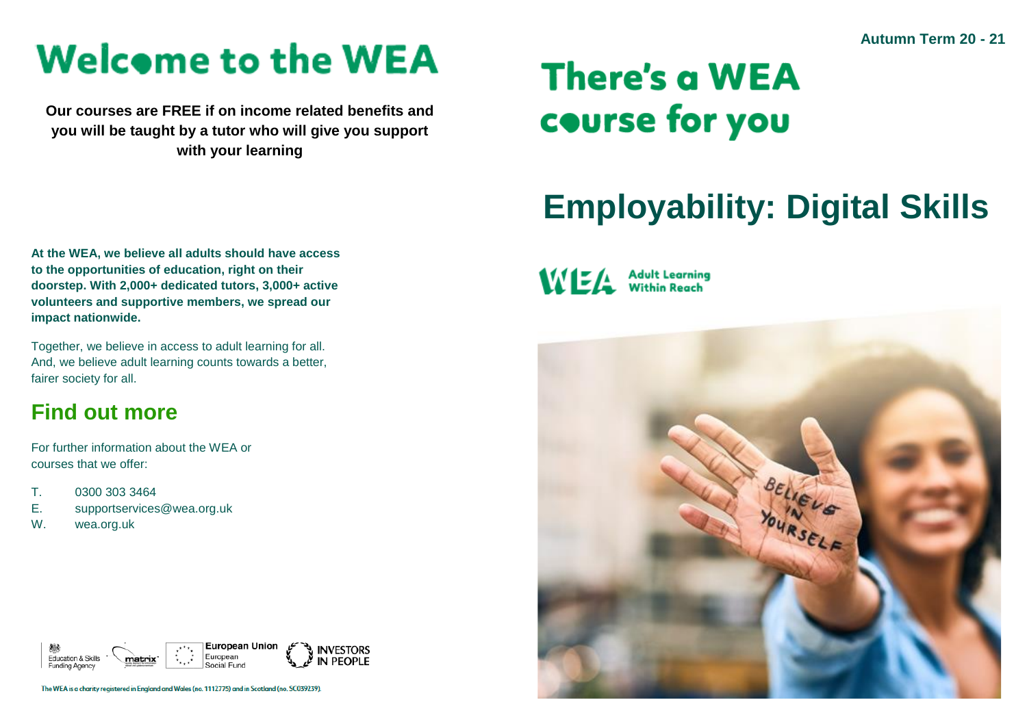# **Welcome to the WEA**

**Our courses are FREE if on income related benefits and you will be taught by a tutor who will give you support with your learning**

## **There's a WEA** course for you

### **Employability: Digital Skills**

**At the WEA, we believe all adults should have access to the opportunities of education, right on their doorstep. With 2,000+ dedicated tutors, 3,000+ active volunteers and supportive members, we spread our impact nationwide.**

Together, we believe in access to adult learning for all. And, we believe adult learning counts towards a better, fairer society for all.

### **Find out more**

For further information about the WEA or courses that we offer:

- T. 0300 303 3464
- E. supportservices@wea.org.uk
- W. wea.org.uk



The WEA is a charity registered in England and Wales (no. 1112775) and in Scotland (no. SC039239)

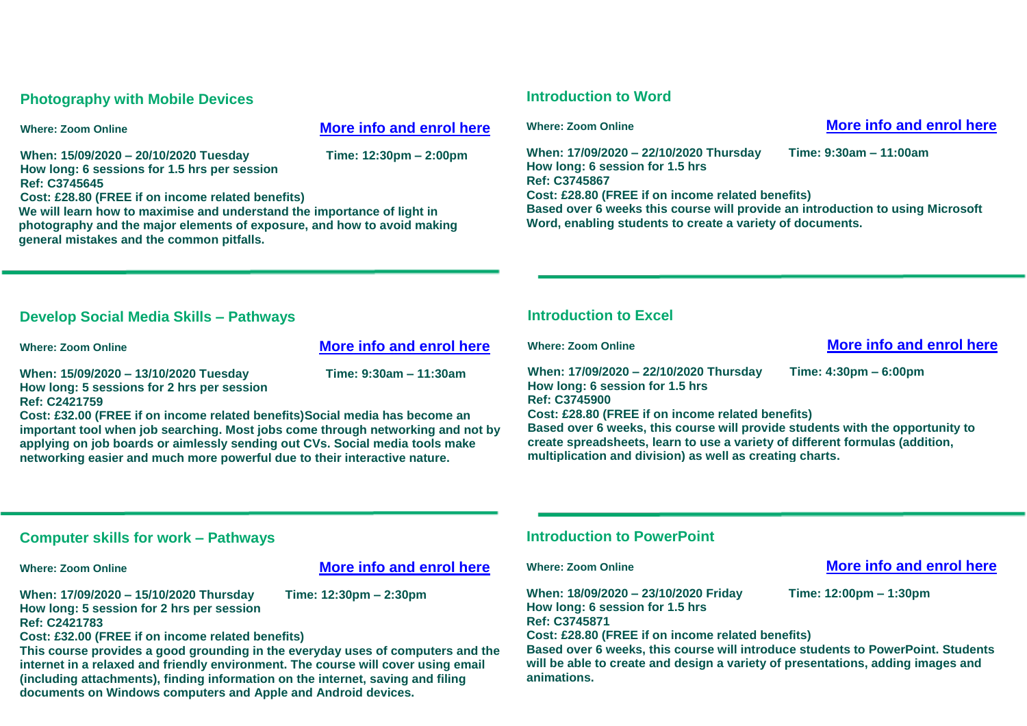#### **Photography with Mobile Devices**

#### **Where: Zoom Online [More info and enrol here](https://enrolonline.wea.org.uk/Online/2020/CourseInfo.aspx?r=C3745645&_ga=2.138703859.1130907519.1598349961-1144305070.1595854459)**

**When: 15/09/2020 – 20/10/2020 Tuesday Time: 12:30pm – 2:00pm How long: 6 sessions for 1.5 hrs per session Ref: C3745645 Cost: £28.80 (FREE if on income related benefits)**

**We will learn how to maximise and understand the importance of light in photography and the major elements of exposure, and how to avoid making general mistakes and the common pitfalls.**

#### **Introduction to Word**

**When: 17/09/2020 – 22/10/2020 Thursday Time: 9:30am – 11:00am How long: 6 session for 1.5 hrs Ref: C3745867 Cost: £28.80 (FREE if on income related benefits) Based over 6 weeks this course will provide an introduction to using Microsoft Word, enabling students to create a variety of documents.** 

#### **Where: Zoom Online [More info and enrol here](https://enrolonline.wea.org.uk/Online/2020/CourseInfo.aspx?r=C3745867&_ga=2.206527187.1130907519.1598349961-1144305070.1595854459)**

#### **Develop Social Media Skills – Pathways**

**Where: Zoom Online [More info and enrol here](https://enrolonline.wea.org.uk/Online/2020/CourseInfo.aspx?r=C2421759&_ga=2.248495815.1130907519.1598349961-1144305070.1595854459)**

**When: 15/09/2020 – 13/10/2020 Tuesday Time: 9:30am – 11:30am How long: 5 sessions for 2 hrs per session Ref: C2421759**

**Cost: £32.00 (FREE if on income related benefits)Social media has become an important tool when job searching. Most jobs come through networking and not by applying on job boards or aimlessly sending out CVs. Social media tools make networking easier and much more powerful due to their interactive nature.**

#### **Introduction to Excel**

#### **Where: Zoom Online [More info and enrol here](https://enrolonline.wea.org.uk/Online/2020/CourseInfo.aspx?r=C3745900&_ga=2.147821431.1130907519.1598349961-1144305070.1595854459)**

**When: 17/09/2020 – 22/10/2020 Thursday Time: 4:30pm – 6:00pm How long: 6 session for 1.5 hrs Ref: C3745900 Cost: £28.80 (FREE if on income related benefits) Based over 6 weeks, this course will provide students with the opportunity to create spreadsheets, learn to use a variety of different formulas (addition, multiplication and division) as well as creating charts.**

#### **Computer skills for work – Pathways**

#### **Where: Zoom Online [More info and enrol here](https://enrolonline.wea.org.uk/Online/2020/CourseInfo.aspx?r=C2421783&_ga=2.171277152.1130907519.1598349961-1144305070.1595854459)**

**When: 17/09/2020 – 15/10/2020 Thursday Time: 12:30pm – 2:30pm How long: 5 session for 2 hrs per session Ref: C2421783**

**Cost: £32.00 (FREE if on income related benefits)**

**This course provides a good grounding in the everyday uses of computers and the internet in a relaxed and friendly environment. The course will cover using email (including attachments), finding information on the internet, saving and filing** 

**documents on Windows computers and Apple and Android devices.**

#### **Introduction to PowerPoint**

**When: 18/09/2020 – 23/10/2020 Friday Time: 12:00pm – 1:30pm How long: 6 session for 1.5 hrs Ref: C3745871**

**Cost: £28.80 (FREE if on income related benefits)**

**Based over 6 weeks, this course will introduce students to PowerPoint. Students will be able to create and design a variety of presentations, adding images and animations.**

#### **Where: Zoom Online <b>Community [More info and enrol here](https://enrolonline.wea.org.uk/Online/2020/CourseInfo.aspx?r=C3745871&_ga=2.176118498.1130907519.1598349961-1144305070.1595854459)**